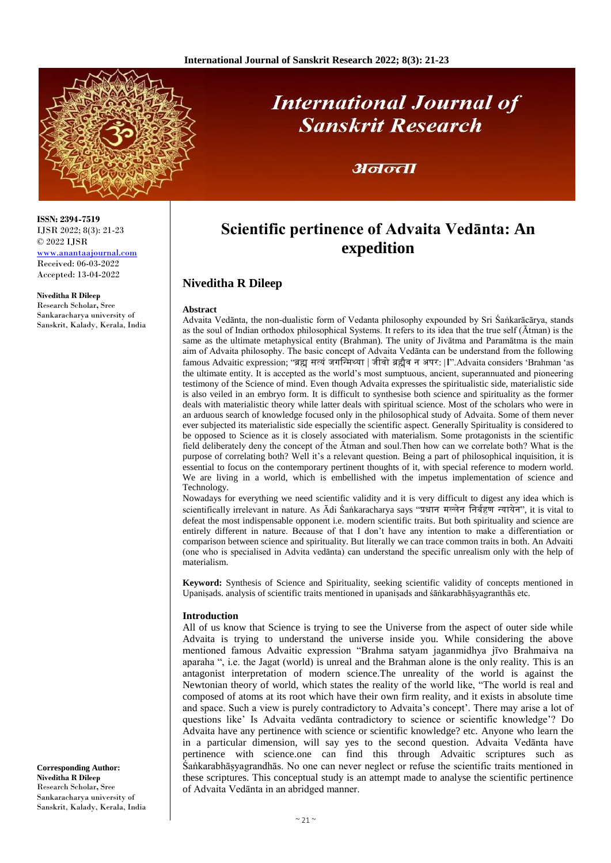

# **International Journal of Sanskrit Research**

## अनन्ता

# **Scientific pertinence of Advaita Vedānta: An expedition**

### **Niveditha R Dileep**

#### **Abstract**

Advaita Vedānta, the non-dualistic form of Vedanta philosophy expounded by Sri Śaṅkarācārya, stands as the soul of Indian orthodox philosophical Systems. It refers to its idea that the true self (Ātman) is the same as the ultimate metaphysical entity (Brahman). The unity of Jivātma and Paramātma is the main aim of Advaita philosophy. The basic concept of Advaita Vedānta can be understand from the following famous Advaitic expression; "ब्रह्म सत्यं जगन्मिथ्या | जीवो ब्रह्मैव न अपर: |**।**".Advaita considers 'Brahman 'as the ultimate entity. It is accepted as the world's most sumptuous, ancient, superannuated and pioneering testimony of the Science of mind. Even though Advaita expresses the spiritualistic side, materialistic side is also veiled in an embryo form. It is difficult to synthesise both science and spirituality as the former deals with materialistic theory while latter deals with spiritual science. Most of the scholars who were in an arduous search of knowledge focused only in the philosophical study of Advaita. Some of them never ever subjected its materialistic side especially the scientific aspect. Generally Spirituality is considered to be opposed to Science as it is closely associated with materialism. Some protagonists in the scientific field deliberately deny the concept of the Ātman and soul.Then how can we correlate both? What is the purpose of correlating both? Well it's a relevant question. Being a part of philosophical inquisition, it is essential to focus on the contemporary pertinent thoughts of it, with special reference to modern world. We are living in a world, which is embellished with the impetus implementation of science and Technology.

Nowadays for everything we need scientific validity and it is very difficult to digest any idea which is scientifically irrelevant in nature. As Ādi Śaṅkaracharya says "प्रधान मल्लेन निर्बहण न्यायेन", it is vital to defeat the most indispensable opponent i.e. modern scientific traits. But both spirituality and science are entirely different in nature. Because of that I don't have any intention to make a differentiation or comparison between science and spirituality. But literally we can trace common traits in both. An Advaiti (one who is specialised in Advita vedānta) can understand the specific unrealism only with the help of materialism.

**Keyword:** Synthesis of Science and Spirituality, seeking scientific validity of concepts mentioned in Upanisads. analysis of scientific traits mentioned in upanisads and śāṅkarabhāṣyagranthās etc.

#### **Introduction**

All of us know that Science is trying to see the Universe from the aspect of outer side while Advaita is trying to understand the universe inside you. While considering the above mentioned famous Advaitic expression "Brahma satyam jaganmidhya jīvo Brahmaiva na aparaha ", i.e. the Jagat (world) is unreal and the Brahman alone is the only reality. This is an antagonist interpretation of modern science.The unreality of the world is against the Newtonian theory of world, which states the reality of the world like, "The world is real and composed of atoms at its root which have their own firm reality, and it exists in absolute time and space. Such a view is purely contradictory to Advaita's concept'. There may arise a lot of questions like' Is Advaita vedānta contradictory to science or scientific knowledge'? Do Advaita have any pertinence with science or scientific knowledge? etc. Anyone who learn the in a particular dimension, will say yes to the second question. Advaita Vedānta have pertinence with science.one can find this through Advaitic scriptures such as Śaṅkarabhāṣyagrandhās. No one can never neglect or refuse the scientific traits mentioned in these scriptures. This conceptual study is an attempt made to analyse the scientific pertinence of Advaita Vedānta in an abridged manner.

**ISSN: 2394-7519** IJSR 2022; 8(3): 21-23 © 2022 IJSR

[www.anantaajournal.com](http://www.anantaajournal.com/) Received: 06-03-2022 Accepted: 13-04-2022

#### **Niveditha R Dileep**

Research Scholar**,** Sree Sankaracharya university of Sanskrit, Kalady, Kerala, India

**Corresponding Author: Niveditha R Dileep** Research Scholar**,** Sree Sankaracharya university of Sanskrit, Kalady, Kerala, India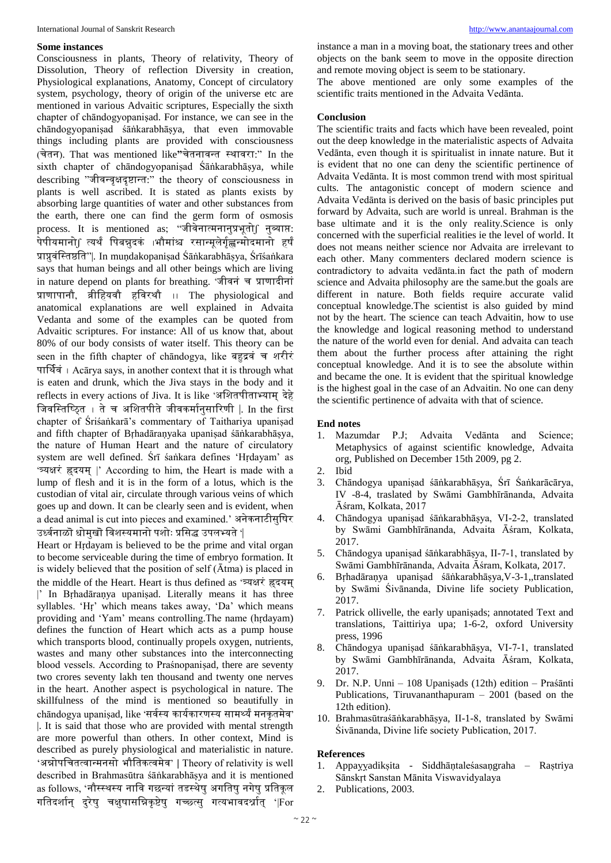#### **Some instances**

Consciousness in plants, Theory of relativity, Theory of Dissolution, Theory of reflection Diversity in creation, Physiological explanations, Anatomy, Concept of circulatory system, psychology, theory of origin of the universe etc are mentioned in various Advaitic scriptures, Especially the sixth chapter of chāndogyopaniṣad. For instance, we can see in the chāndogyopaniṣad śāṅkarabhāṣya, that even immovable things including plants are provided with consciousness (चेतन). That was mentioned like**"**चेतनावमत स्थावरा:" In the sixth chapter of chāndogyopanisad Śāṅkarabhāsya, while describing "जीवमवृक्षदृष्टामत:" the theory of consciousness in plants is well ascribed. It is stated as plants exists by absorbing large quantities of water and other substances from the earth, there one can find the germ form of osmosis process. It is mentioned as; "जीवेनात्मनानुप्रभूतो $\int$  नुव्याप्त: पेपीयमानो∫ त्यर्थं पिबन्नुदकं ।भौमांश्च रसान्मूलेर्गृह्णन्मोदमानो हर्षं प्राप्नुवंन्स्तष्ठन्त"|. In muṇdakopaniṣad Śāṅkarabhāṣya, Śrīśaṅkara says that human beings and all other beings which are living in nature depend on plants for breathing. 'जीवनं च प्राणादीनां प्राणापानौ, व्रीन्हयवौ हन्वरथौ ।। The physiological and anatomical explanations are well explained in Advaita Vedanta and some of the examples can be quoted from Advaitic scriptures. For instance: All of us know that, about 80% of our body consists of water itself. This theory can be seen in the fifth chapter of chandogya, like बहद्रवं च शरीरं पार्थबवं । Acārya says, in another context that it is through what is eaten and drunk, which the Jiva stays in the body and it reflects in every actions of Jiva. It is like 'अशितपीताभ्याम् देहे जिवस्तिष्ठित । ते च अशितपीते जीवकर्मानसारिणी |. In the first chapter of Śriśaṅkarā's commentary of Taithariya upaniṣad and fifth chapter of Bṛhadāraṇyaka upaniṣad śāṅkarabhāṣya, the nature of Human Heart and the nature of circulatory system are well defined. Śrī śaṅkara defines 'Hṛdayam' as 'त्र्यक्षरं ह्र्दयि् |' According to him, the Heart is made with a lump of flesh and it is in the form of a lotus, which is the custodian of vital air, circulate through various veins of which goes up and down. It can be clearly seen and is evident, when a dead animal is cut into pieces and examined.' अनेकनाटीसुन्र्षर उर्ध्वनाळॊ धोमखॊ विशस्यमानो पशोः प्रसिद्ध उपलभ्यते '

Heart or Hrdayam is believed to be the prime and vital organ to become serviceable during the time of embryo formation. It is widely believed that the position of self (Ātma) is placed in the middle of the Heart. Heart is thus defined as 'त्र्यक्षरं ह्रदयम |' In Bṛhadāraṇya upaniṣad. Literally means it has three syllables. 'Hṛ' which means takes away, 'Da' which means providing and 'Yam' means controlling.The name (hṛdayam) defines the function of Heart which acts as a pump house which transports blood, continually propels oxygen, nutrients, wastes and many other substances into the interconnecting blood vessels. According to Praśnopaniṣad, there are seventy two crores seventy lakh ten thousand and twenty one nerves in the heart. Another aspect is psychological in nature. The skillfulness of the mind is mentioned so beautifully in chandogya upanisad, like 'सर्वस्य कार्यकारणस्य सामर्थ्यं मनकृतमेव' |. It is said that those who are provided with mental strength are more powerful than others. In other context, Mind is described as purely physiological and materialistic in nature. 'अन्नोपन्चतत्वामिनसो भौन्तकत्विेव' **|** Theory of relativity is well described in Brahmasūtra śāṅkarabhāṣya and it is mentioned as follows, 'नौस्स्थस्य नावि गछन्यां तडस्थेषु अगतिषु नगेषु प्रतिकूल गतिदर्शान् दुरेषु चक्षुषासन्निकृष्टेषु गच्छ्त्स् गत्यभावदर्श्नात् '|For

instance a man in a moving boat, the stationary trees and other objects on the bank seem to move in the opposite direction and remote moving object is seem to be stationary.

The above mentioned are only some examples of the scientific traits mentioned in the Advaita Vedānta.

#### **Conclusion**

The scientific traits and facts which have been revealed, point out the deep knowledge in the materialistic aspects of Advaita Vedānta, even though it is spiritualist in innate nature. But it is evident that no one can deny the scientific pertinence of Advaita Vedānta. It is most common trend with most spiritual cults. The antagonistic concept of modern science and Advaita Vedānta is derived on the basis of basic principles put forward by Advaita, such are world is unreal. Brahman is the base ultimate and it is the only reality.Science is only concerned with the superficial realities ie the level of world. It does not means neither science nor Advaita are irrelevant to each other. Many commenters declared modern science is contradictory to advaita vedānta.in fact the path of modern science and Advaita philosophy are the same.but the goals are different in nature. Both fields require accurate valid conceptual knowledge.The scientist is also guided by mind not by the heart. The science can teach Advaitin, how to use the knowledge and logical reasoning method to understand the nature of the world even for denial. And advaita can teach them about the further process after attaining the right conceptual knowledge. And it is to see the absolute within and became the one. It is evident that the spiritual knowledge is the highest goal in the case of an Advaitin. No one can deny the scientific pertinence of advaita with that of science.

#### **End notes**

- 1. Mazumdar P.J; Advaita Vedānta and Science; Metaphysics of against scientific knowledge, Advaita org, Published on December 15th 2009, pg 2.
- 2. Ibid
- 3. Chāndogya upaniṣad śāṅkarabhāṣya, Śrī Śaṅkarācārya, IV -8-4, traslated by Swāmi Gambhīrānanda, Advaita Āśram, Kolkata, 2017
- 4. Chāndogya upaniṣad śāṅkarabhāṣya, VI-2-2, translated by Swāmi Gambhīrānanda, Advaita Āśram, Kolkata, 2017.
- 5. Chāndogya upaniṣad śāṅkarabhāṣya, II-7-1, translated by Swāmi Gambhīrānanda, Advaita Āśram, Kolkata, 2017.
- 6. Bṛhadāraṇya upaniṣad śāṅkarabhāṣya,V-3-1,,translated by Swāmi Śivānanda, Divine life society Publication, 2017.
- 7. Patrick ollivelle, the early upaniṣads; annotated Text and translations, Taittiriya upa; 1-6-2, oxford University press, 1996
- 8. Chāndogya upaniṣad śāṅkarabhāṣya, VI-7-1, translated by Swāmi Gambhīrānanda, Advaita Āśram, Kolkata, 2017.
- 9. Dr. N.P. Unni 108 Upaniṣads (12th) edition Praśānti Publications, Tiruvananthapuram – 2001 (based on the 12th edition).
- 10. Brahmasūtraśāṅkarabhāṣya, II-1-8, translated by Swāmi Śivānanda, Divine life society Publication, 2017.

#### **References**

- 1. Appaỵỵadikṣita Siddhāṇtaleśasaṇgraha Raṣtriya Sānskṛt Sanstan Mānita Viswavidyalaya
- 2. Publications, 2003.